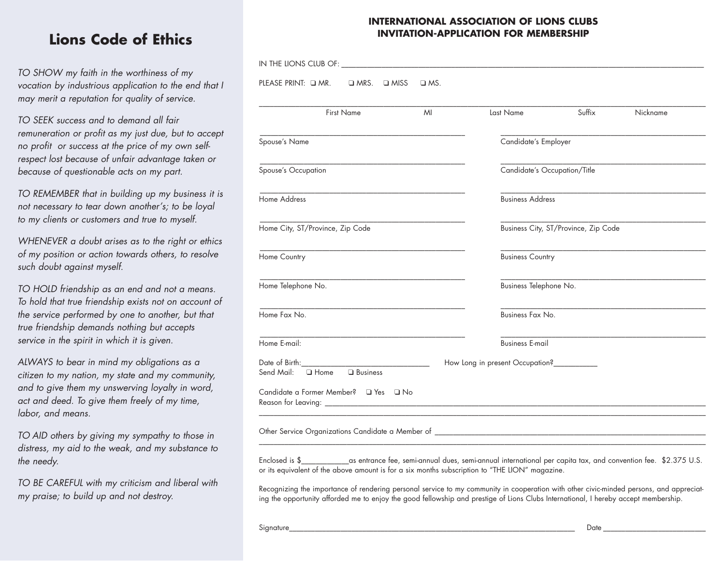# **Lions Code of Ethics**

*TO SHOW my faith in the worthiness of my vocation by industrious application to the end that I may merit a reputation for quality of service.*

*TO SEEK success and to demand all fair remuneration or profit as my just due, but to accept no profit or success at the price of my own selfrespect lost because of unfair advantage taken or because of questionable acts on my part.*

*TO REMEMBER that in building up my business it is not necessary to tear down another's; to be loyal to my clients or customers and true to myself.*

*WHENEVER a doubt arises as to the right or ethics of my position or action towards others, to resolve such doubt against myself.*

*TO HOLD friendship as an end and not a means. To hold that true friendship exists not on account of the service performed by one to another, but that true friendship demands nothing but accepts service in the spirit in which it is given.*

*ALWAYS to bear in mind my obligations as a citizen to my nation, my state and my community, and to give them my unswerving loyalty in word, act and deed. To give them freely of my time, labor, and means.*

*TO AID others by giving my sympathy to those in distress, my aid to the weak, and my substance to the needy.*

*TO BE CAREFUL with my criticism and liberal with my praise; to build up and not destroy.*

### **INTERNATIONAL ASSOCIATION OF LIONS CLUBS INVITATION-APPLICATION FOR MEMBERSHIP**

| PLEASE PRINT: Q MR.<br>□ MRS. □ MISS                      | $\Box$ MS. |                                           |                                      |          |  |
|-----------------------------------------------------------|------------|-------------------------------------------|--------------------------------------|----------|--|
| <b>First Name</b>                                         | MI         | Last Name                                 | Suffix                               | Nickname |  |
| Spouse's Name                                             |            | Candidate's Employer                      |                                      |          |  |
| Spouse's Occupation                                       |            | Candidate's Occupation/Title              |                                      |          |  |
| Home Address                                              |            |                                           | <b>Business Address</b>              |          |  |
| Home City, ST/Province, Zip Code                          |            |                                           | Business City, ST/Province, Zip Code |          |  |
| Home Country                                              |            | <b>Business Country</b>                   |                                      |          |  |
| Home Telephone No.                                        |            | Business Telephone No.                    |                                      |          |  |
| Home Fax No.                                              |            | Business Fax No.                          |                                      |          |  |
| Home E-mail:                                              |            | <b>Business E-mail</b>                    |                                      |          |  |
| Date of Birth:<br>$\Box$ Home<br>□ Business<br>Send Mail: |            | How Long in present Occupation?__________ |                                      |          |  |
| Candidate a Former Member? □ Yes □ No                     |            |                                           |                                      |          |  |

Enclosed is \$\_\_\_\_\_\_\_\_\_\_\_\_\_as entrance fee, semi-annual dues, semi-annual international per capita tax, and convention fee. \$2.375 U.S. or its equivalent of the above amount is for a six months subscription to "THE LION" magazine.

Recognizing the importance of rendering personal service to my community in cooperation with other civic-minded persons, and appreciating the opportunity afforded me to enjoy the good fellowship and prestige of Lions Clubs International, I hereby accept membership.